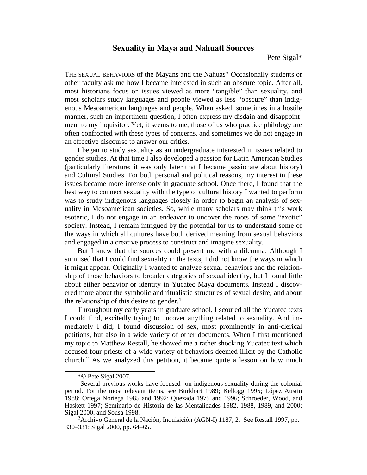# **Sexuality in Maya and Nahuatl Sources**

Pete Sigal\*

THE SEXUAL BEHAVIORS of the Mayans and the Nahuas? Occasionally students or other faculty ask me how I became interested in such an obscure topic. After all, most historians focus on issues viewed as more "tangible" than sexuality, and most scholars study languages and people viewed as less "obscure" than indigenous Mesoamerican languages and people. When asked, sometimes in a hostile manner, such an impertinent question, I often express my disdain and disappointment to my inquisitor. Yet, it seems to me, those of us who practice philology are often confronted with these types of concerns, and sometimes we do not engage in an effective discourse to answer our critics.

I began to study sexuality as an undergraduate interested in issues related to gender studies. At that time I also developed a passion for Latin American Studies (particularly literature; it was only later that I became passionate about history) and Cultural Studies. For both personal and political reasons, my interest in these issues became more intense only in graduate school. Once there, I found that the best way to connect sexuality with the type of cultural history I wanted to perform was to study indigenous languages closely in order to begin an analysis of sexuality in Mesoamerican societies. So, while many scholars may think this work esoteric, I do not engage in an endeavor to uncover the roots of some "exotic" society. Instead, I remain intrigued by the potential for us to understand some of the ways in which all cultures have both derived meaning from sexual behaviors and engaged in a creative process to construct and imagine sexuality.

But I knew that the sources could present me with a dilemma. Although I surmised that I could find sexuality in the texts, I did not know the ways in which it might appear. Originally I wanted to analyze sexual behaviors and the relationship of those behaviors to broader categories of sexual identity, but I found little about either behavior or identity in Yucatec Maya documents. Instead I discovered more about the symbolic and ritualistic structures of sexual desire, and about the relationship of this desire to gender.<sup>1</sup>

Throughout my early years in graduate school, I scoured all the Yucatec texts I could find, excitedly trying to uncover anything related to sexuality. And immediately I did; I found discussion of sex, most prominently in anti-clerical petitions, but also in a wide variety of other documents. When I first mentioned my topic to Matthew Restall, he showed me a rather shocking Yucatec text which accused four priests of a wide variety of behaviors deemed illicit by the Catholic church.2 As we analyzed this petition, it became quite a lesson on how much

<sup>\*©</sup> Pete Sigal 2007. 1Several previous works have focused on indigenous sexuality during the colonial period. For the most relevant items, see Burkhart 1989; Kellogg 1995; López Austin 1988; Ortega Noriega 1985 and 1992; Quezada 1975 and 1996; Schroeder, Wood, and Haskett 1997; Seminario de Historia de las Mentalidades 1982, 1988, 1989, and 2000;

<sup>&</sup>lt;sup>2</sup> Archivo General de la Nación, Inquisición (AGN-I) 1187, 2. See Restall 1997, pp. 330–331; Sigal 2000, pp. 64–65.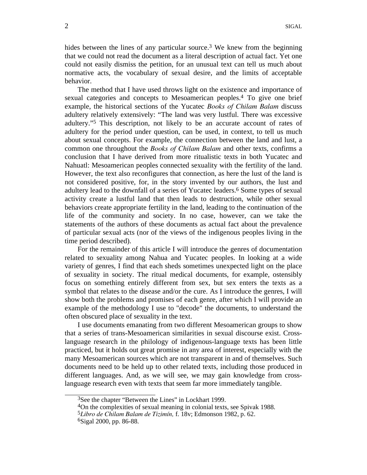hides between the lines of any particular source.<sup>3</sup> We knew from the beginning that we could not read the document as a literal description of actual fact. Yet one could not easily dismiss the petition, for an unusual text can tell us much about normative acts, the vocabulary of sexual desire, and the limits of acceptable behavior.

The method that I have used throws light on the existence and importance of sexual categories and concepts to Mesoamerican peoples.4 To give one brief example, the historical sections of the Yucatec *Books of Chilam Balam* discuss adultery relatively extensively: "The land was very lustful. There was excessive adultery."5 This description, not likely to be an accurate account of rates of adultery for the period under question, can be used, in context, to tell us much about sexual concepts. For example, the connection between the land and lust, a common one throughout the *Books of Chilam Balam* and other texts, confirms a conclusion that I have derived from more ritualistic texts in both Yucatec and Nahuatl: Mesoamerican peoples connected sexuality with the fertility of the land. However, the text also reconfigures that connection, as here the lust of the land is not considered positive, for, in the story invented by our authors, the lust and adultery lead to the downfall of a series of Yucatec leaders.6 Some types of sexual activity create a lustful land that then leads to destruction, while other sexual behaviors create appropriate fertility in the land, leading to the continuation of the life of the community and society. In no case, however, can we take the statements of the authors of these documents as actual fact about the prevalence of particular sexual acts (nor of the views of the indigenous peoples living in the time period described).

For the remainder of this article I will introduce the genres of documentation related to sexuality among Nahua and Yucatec peoples. In looking at a wide variety of genres, I find that each sheds sometimes unexpected light on the place of sexuality in society. The ritual medical documents, for example, ostensibly focus on something entirely different from sex, but sex enters the texts as a symbol that relates to the disease and/or the cure. As I introduce the genres, I will show both the problems and promises of each genre, after which I will provide an example of the methodology I use to "decode" the documents, to understand the often obscured place of sexuality in the text.

I use documents emanating from two different Mesoamerican groups to show that a series of trans-Mesoamerican similarities in sexual discourse exist. Crosslanguage research in the philology of indigenous-language texts has been little practiced, but it holds out great promise in any area of interest, especially with the many Mesoamerican sources which are not transparent in and of themselves. Such documents need to be held up to other related texts, including those produced in different languages. And, as we will see, we may gain knowledge from crosslanguage research even with texts that seem far more immediately tangible.

<sup>&</sup>lt;sup>3</sup>See the chapter "Between the Lines" in Lockhart 1999.<br>
<sup>4</sup>On the complexities of sexual meaning in colonial texts, see Spivak 1988.<br>
<sup>5</sup>Libro de Chilam Balam de Tizimín, f. 18v; Edmonson 1982, p. 62.<br>
<sup>6</sup>Sigal 2000, pp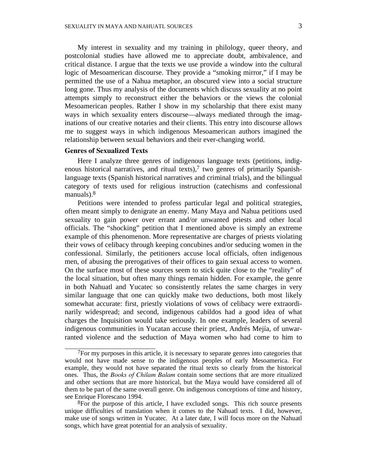My interest in sexuality and my training in philology, queer theory, and postcolonial studies have allowed me to appreciate doubt, ambivalence, and critical distance. I argue that the texts we use provide a window into the cultural logic of Mesoamerican discourse. They provide a "smoking mirror," if I may be permitted the use of a Nahua metaphor, an obscured view into a social structure long gone. Thus my analysis of the documents which discuss sexuality at no point attempts simply to reconstruct either the behaviors or the views the colonial Mesoamerican peoples. Rather I show in my scholarship that there exist many ways in which sexuality enters discourse—always mediated through the imaginations of our creative notaries and their clients. This entry into discourse allows me to suggest ways in which indigenous Mesoamerican authors imagined the relationship between sexual behaviors and their ever-changing world.

### **Genres of Sexualized Texts**

Here I analyze three genres of indigenous language texts (petitions, indigenous historical narratives, and ritual texts),<sup>7</sup> two genres of primarily Spanishlanguage texts (Spanish historical narratives and criminal trials), and the bilingual category of texts used for religious instruction (catechisms and confessional manuals).8

Petitions were intended to profess particular legal and political strategies, often meant simply to denigrate an enemy. Many Maya and Nahua petitions used sexuality to gain power over errant and/or unwanted priests and other local officials. The "shocking" petition that I mentioned above is simply an extreme example of this phenomenon. More representative are charges of priests violating their vows of celibacy through keeping concubines and/or seducing women in the confessional. Similarly, the petitioners accuse local officials, often indigenous men, of abusing the prerogatives of their offices to gain sexual access to women. On the surface most of these sources seem to stick quite close to the "reality" of the local situation, but often many things remain hidden. For example, the genre in both Nahuatl and Yucatec so consistently relates the same charges in very similar language that one can quickly make two deductions, both most likely somewhat accurate: first, priestly violations of vows of celibacy were extraordinarily widespread; and second, indigenous cabildos had a good idea of what charges the Inquisition would take seriously. In one example, leaders of several indigenous communities in Yucatan accuse their priest, Andrés Mejía, of unwarranted violence and the seduction of Maya women who had come to him to

<sup>&</sup>lt;sup>7</sup>For my purposes in this article, it is necessary to separate genres into categories that would not have made sense to the indigenous peoples of early Mesoamerica. For example, they would not have separated the ritual texts so clearly from the historical ones. Thus, the *Books of Chilam Balam* contain some sections that are more ritualized and other sections that are more historical, but the Maya would have considered all of them to be part of the same overall genre. On indigenous conceptions of time and history,

 ${}^{8}$ For the purpose of this article, I have excluded songs. This rich source presents unique difficulties of translation when it comes to the Nahuatl texts. I did, however, make use of songs written in Yucatec. At a later date, I will focus more on the Nahuatl songs, which have great potential for an analysis of sexuality.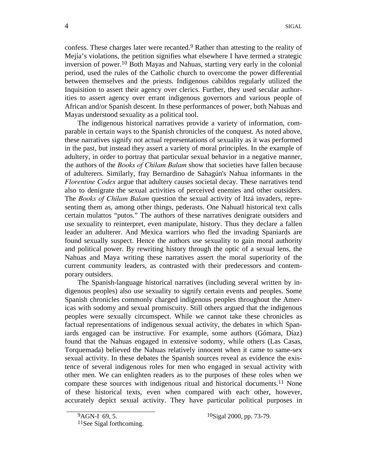confess. These charges later were recanted.<sup>9</sup> Rather than attesting to the reality of Mejía's violations, the petition signifies what elsewhere I have termed a strategic inversion of power.10 Both Mayas and Nahuas, starting very early in the colonial period, used the rules of the Catholic church to overcome the power differential between themselves and the priests. Indigenous cabildos regularly utilized the Inquisition to assert their agency over clerics. Further, they used secular authorities to assert agency over errant indigenous governors and various people of African and/or Spanish descent. In these performances of power, both Nahuas and Mayas understood sexuality as a political tool.

The indigenous historical narratives provide a variety of information, comparable in certain ways to the Spanish chronicles of the conquest. As noted above, these narratives signify not actual representations of sexuality as it was performed in the past, but instead they assert a variety of moral principles. In the example of adultery, in order to portray that particular sexual behavior in a negative manner, the authors of the *Books of Chilam Balam* show that societies have fallen because of adulterers. Similarly, fray Bernardino de Sahagún's Nahua informants in the *Florentine Codex* argue that adultery causes societal decay. These narratives tend also to denigrate the sexual activities of perceived enemies and other outsiders. The *Books of Chilam Balam* question the sexual activity of Itzá invaders, representing them as, among other things, pederasts. One Nahuatl historical text calls certain mulattos "putos." The authors of these narratives denigrate outsiders and use sexuality to reinterpret, even manipulate, history. Thus they declare a fallen leader an adulterer. And Mexica warriors who fled the invading Spaniards are found sexually suspect. Hence the authors use sexuality to gain moral authority and political power. By rewriting history through the optic of a sexual lens, the Nahuas and Maya writing these narratives assert the moral superiority of the current community leaders, as contrasted with their predecessors and contemporary outsiders.

The Spanish-language historical narratives (including several written by indigenous peoples) also use sexuality to signify certain events and peoples. Some Spanish chronicles commonly charged indigenous peoples throughout the Americas with sodomy and sexual promiscuity. Still others argued that the indigenous peoples were sexually circumspect. While we cannot take these chronicles as factual representations of indigenous sexual activity, the debates in which Spaniards engaged can be instructive. For example, some authors (Gómara, Díaz) found that the Nahuas engaged in extensive sodomy, while others (Las Casas, Torquemada) believed the Nahuas relatively innocent when it came to same-sex sexual activity. In these debates the Spanish sources reveal as evidence the existence of several indigenous roles for men who engaged in sexual activity with other men. We can enlighten readers as to the purposes of these roles when we compare these sources with indigenous ritual and historical documents. 11 None of these historical texts, even when compared with each other, however, accurately depict sexual activity. They have particular political purposes in

 ${}^{9}$ AGN-I 69, 5.  ${}^{10}$ Sigal 2000, pp. 73-79.<br> ${}^{11}$ See Sigal forthcoming.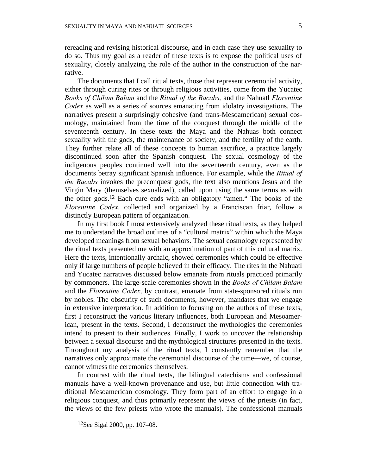rereading and revising historical discourse, and in each case they use sexuality to do so. Thus my goal as a reader of these texts is to expose the political uses of sexuality, closely analyzing the role of the author in the construction of the nar-

rative. The documents that I call ritual texts, those that represent ceremonial activity, either through curing rites or through religious activities, come from the Yucatec *Books of Chilam Balam* and the *Ritual of the Bacabs,* and the Nahuatl *Florentine Codex* as well as a series of sources emanating from idolatry investigations. The narratives present a surprisingly cohesive (and trans-Mesoamerican) sexual cosmology, maintained from the time of the conquest through the middle of the seventeenth century. In these texts the Maya and the Nahuas both connect sexuality with the gods, the maintenance of society, and the fertility of the earth. They further relate all of these concepts to human sacrifice, a practice largely discontinued soon after the Spanish conquest. The sexual cosmology of the indigenous peoples continued well into the seventeenth century, even as the documents betray significant Spanish influence. For example, while the *Ritual of the Bacabs* invokes the preconquest gods, the text also mentions Jesus and the Virgin Mary (themselves sexualized), called upon using the same terms as with the other gods. 12 Each cure ends with an obligatory "amen." The books of the *Florentine Codex,* collected and organized by a Franciscan friar, follow a distinctly European pattern of organization.

In my first book I most extensively analyzed these ritual texts, as they helped me to understand the broad outlines of a "cultural matrix" within which the Maya developed meanings from sexual behaviors. The sexual cosmology represented by the ritual texts presented me with an approximation of part of this cultural matrix. Here the texts, intentionally archaic, showed ceremonies which could be effective only if large numbers of people believed in their efficacy. The rites in the Nahuatl and Yucatec narratives discussed below emanate from rituals practiced primarily by commoners. The large-scale ceremonies shown in the *Books of Chilam Balam* and the *Florentine Codex,* by contrast, emanate from state-sponsored rituals run by nobles. The obscurity of such documents, however, mandates that we engage in extensive interpretation. In addition to focusing on the authors of these texts, first I reconstruct the various literary influences, both European and Mesoamerican, present in the texts. Second, I deconstruct the mythologies the ceremonies intend to present to their audiences. Finally, I work to uncover the relationship between a sexual discourse and the mythological structures presented in the texts. Throughout my analysis of the ritual texts, I constantly remember that the narratives only approximate the ceremonial discourse of the time—we, of course, cannot witness the ceremonies themselves.

In contrast with the ritual texts, the bilingual catechisms and confessional manuals have a well-known provenance and use, but little connection with traditional Mesoamerican cosmology. They form part of an effort to engage in a religious conquest, and thus primarily represent the views of the priests (in fact, the views of the few priests who wrote the manuals). The confessional manuals

<sup>12</sup>See Sigal 2000, pp. 107–08.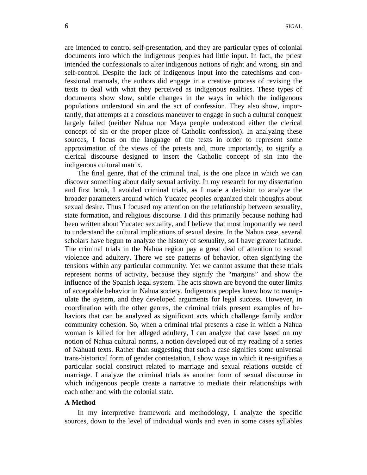are intended to control self-presentation, and they are particular types of colonial documents into which the indigenous peoples had little input. In fact, the priest intended the confessionals to alter indigenous notions of right and wrong, sin and self-control. Despite the lack of indigenous input into the catechisms and confessional manuals, the authors did engage in a creative process of revising the texts to deal with what they perceived as indigenous realities. These types of documents show slow, subtle changes in the ways in which the indigenous populations understood sin and the act of confession. They also show, importantly, that attempts at a conscious maneuver to engage in such a cultural conquest largely failed (neither Nahua nor Maya people understood either the clerical concept of sin or the proper place of Catholic confession). In analyzing these sources, I focus on the language of the texts in order to represent some approximation of the views of the priests and, more importantly, to signify a clerical discourse designed to insert the Catholic concept of sin into the indigenous cultural matrix.

The final genre, that of the criminal trial, is the one place in which we can discover something about daily sexual activity. In my research for my dissertation and first book, I avoided criminal trials, as I made a decision to analyze the broader parameters around which Yucatec peoples organized their thoughts about sexual desire. Thus I focused my attention on the relationship between sexuality, state formation, and religious discourse. I did this primarily because nothing had been written about Yucatec sexuality, and I believe that most importantly we need to understand the cultural implications of sexual desire. In the Nahua case, several scholars have begun to analyze the history of sexuality, so I have greater latitude. The criminal trials in the Nahua region pay a great deal of attention to sexual violence and adultery. There we see patterns of behavior, often signifying the tensions within any particular community. Yet we cannot assume that these trials represent norms of activity, because they signify the "margins" and show the influence of the Spanish legal system. The acts shown are beyond the outer limits of acceptable behavior in Nahua society. Indigenous peoples knew how to manipulate the system, and they developed arguments for legal success. However, in coordination with the other genres, the criminal trials present examples of behaviors that can be analyzed as significant acts which challenge family and/or community cohesion. So, when a criminal trial presents a case in which a Nahua woman is killed for her alleged adultery, I can analyze that case based on my notion of Nahua cultural norms, a notion developed out of my reading of a series of Nahuatl texts. Rather than suggesting that such a case signifies some universal trans-historical form of gender contestation, I show ways in which it re-signifies a particular social construct related to marriage and sexual relations outside of marriage. I analyze the criminal trials as another form of sexual discourse in which indigenous people create a narrative to mediate their relationships with each other and with the colonial state.

### **A Method**

In my interpretive framework and methodology, I analyze the specific sources, down to the level of individual words and even in some cases syllables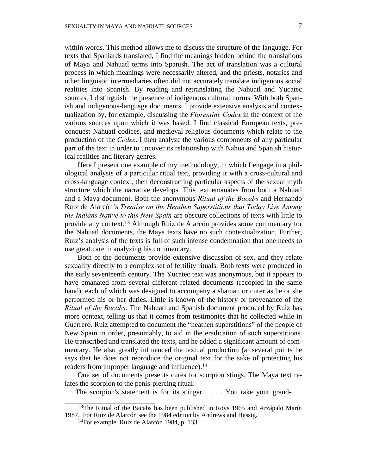within words. This method allows me to discuss the structure of the language. For texts that Spaniards translated, I find the meanings hidden behind the translations of Maya and Nahuatl terms into Spanish. The act of translation was a cultural process in which meanings were necessarily altered, and the priests, notaries and other linguistic intermediaries often did not accurately translate indigenous social realities into Spanish. By reading and retranslating the Nahuatl and Yucatec sources, I distinguish the presence of indigenous cultural norms. With both Spanish and indigenous-language documents, I provide extensive analysis and contextualization by, for example, discussing the *Florentine Codex* in the context of the various sources upon which it was based. I find classical European texts, preconquest Nahuatl codices, and medieval religious documents which relate to the production of the *Codex*. I then analyze the various components of any particular part of the text in order to uncover its relationship with Nahua and Spanish historical realities and literary genres.

Here I present one example of my methodology, in which I engage in a philological analysis of a particular ritual text, providing it with a cross-cultural and cross-language context, then deconstructing particular aspects of the sexual myth structure which the narrative develops. This text emanates from both a Nahuatl and a Maya document. Both the anonymous *Ritual of the Bacabs* and Hernando Ruiz de Alarcón's *Treatise on the Heathen Superstitions that Today Live Among the Indians Native to this New Spain* are obscure collections of texts with little to provide any context. 13 Although Ruiz de Alarcón provides some commentary for the Nahuatl documents, the Maya texts have no such contextualization. Further, Ruiz's analysis of the texts is full of such intense condemnation that one needs to use great care in analyzing his commentary.

Both of the documents provide extensive discussion of sex, and they relate sexuality directly to a complex set of fertility rituals. Both texts were produced in the early seventeenth century. The Yucatec text was anonymous, but it appears to have emanated from several different related documents (recopied in the same hand), each of which was designed to accompany a shaman or curer as he or she performed his or her duties. Little is known of the history or provenance of the *Ritual of the Bacabs.* The Nahuatl and Spanish document produced by Ruiz has more context, telling us that it comes from testimonies that he collected while in Guerrero. Ruiz attempted to document the "heathen superstitions" of the people of New Spain in order, presumably, to aid in the eradication of such superstitions. He transcribed and translated the texts, and he added a significant amount of commentary. He also greatly influenced the textual production (at several points he says that he does not reproduce the original text for the sake of protecting his readers from improper language and influence).14

One set of documents presents cures for scorpion stings. The Maya text relates the scorpion to the penis-piercing ritual:

The scorpion's statement is for its stinger . . . . You take your grand-

<sup>&</sup>lt;sup>13</sup>The Ritual of the Bacabs has been published in Roys 1965 and Arzápalo Marín 1987. For Ruiz de Alarcón see the <sup>1984</sup> edition by Andrews and Hassig. 14For example, Ruiz de Alarcón 1984, p. 133.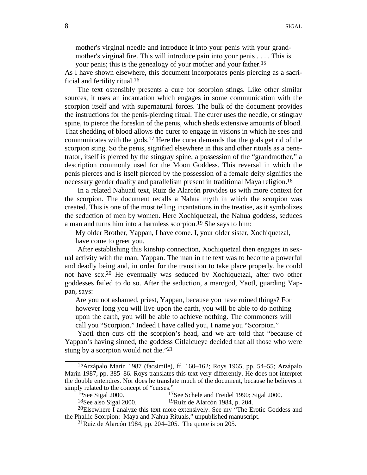mother's virginal needle and introduce it into your penis with your grandmother's virginal fire. This will introduce pain into your penis . . . . This is your penis; this is the genealogy of your mother and your father.15

As I have shown elsewhere, this document incorporates penis piercing as a sacrificial and fertility ritual. 16

The text ostensibly presents a cure for scorpion stings. Like other similar sources, it uses an incantation which engages in some communication with the scorpion itself and with supernatural forces. The bulk of the document provides the instructions for the penis-piercing ritual. The curer uses the needle, or stingray spine, to pierce the foreskin of the penis, which sheds extensive amounts of blood. That shedding of blood allows the curer to engage in visions in which he sees and communicates with the gods. 17 Here the curer demands that the gods get rid of the scorpion sting. So the penis, signified elsewhere in this and other rituals as a penetrator, itself is pierced by the stingray spine, a possession of the "grandmother," a description commonly used for the Moon Goddess. This reversal in which the penis pierces and is itself pierced by the possession of a female deity signifies the necessary gender duality and parallelism present in traditional Maya religion.18

In a related Nahuatl text, Ruiz de Alarcón provides us with more context for the scorpion. The document recalls a Nahua myth in which the scorpion was created. This is one of the most telling incantations in the treatise, as it symbolizes the seduction of men by women. Here Xochiquetzal, the Nahua goddess, seduces a man and turns him into a harmless scorpion.19 She says to him:

My older Brother, Yappan, I have come. I, your older sister, Xochiquetzal, have come to greet you.

After establishing this kinship connection, Xochiquetzal then engages in sexual activity with the man, Yappan. The man in the text was to become a powerful and deadly being and, in order for the transition to take place properly, he could not have sex.20 He eventually was seduced by Xochiquetzal, after two other goddesses failed to do so. After the seduction, a man/god, Yaotl, guarding Yappan, says:

Are you not ashamed, priest, Yappan, because you have ruined things? For however long you will live upon the earth, you will be able to do nothing upon the earth, you will be able to achieve nothing. The commoners will call you "Scorpion." Indeed I have called you, I name you "Scorpion."

Yaotl then cuts off the scorpion's head, and we are told that "because of Yappan's having sinned, the goddess Citlalcueye decided that all those who were stung by a scorpion would not die."21

<sup>15</sup>Arzápalo Marín 1987 (facsimile), ff. 160–162; Roys 1965, pp. 54–55; Arzápalo Marín 1987, pp. 385–86. Roys translates this text very differently. He does not interpret the double entendres. Nor does he translate much of the document, because he believes it simply related to the concept of "curses."<br><sup>16</sup>See Sigal 2000. <sup>17</sup>See Schele and Freidel 1990; Sigal 2000.<br><sup>19</sup>Ruiz de Alarcón 1984, p. 204.<br><sup>20</sup>Elsewhere I analyze this text more extensively. See my "The Erotic Goddess

the Phallic Scorpion: Maya and Nahua Rituals," unpublished manuscript. 21Ruiz de Alarcón 1984, pp. 204–205. The quote is on 205.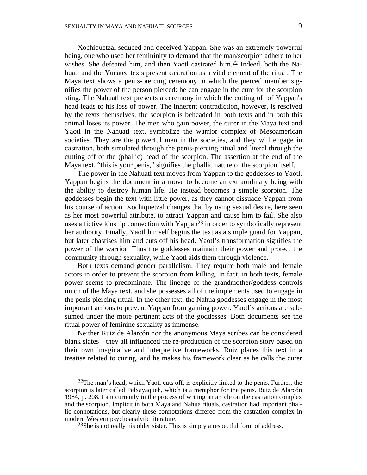Xochiquetzal seduced and deceived Yappan. She was an extremely powerful being, one who used her femininity to demand that the man/scorpion adhere to her wishes. She defeated him, and then Yaotl castrated him. 22 Indeed, both the Nahuatl and the Yucatec texts present castration as a vital element of the ritual. The Maya text shows a penis-piercing ceremony in which the pierced member signifies the power of the person pierced: he can engage in the cure for the scorpion sting. The Nahuatl text presents a ceremony in which the cutting off of Yappan's head leads to his loss of power. The inherent contradiction, however, is resolved by the texts themselves: the scorpion is beheaded in both texts and in both this animal loses its power. The men who gain power, the curer in the Maya text and Yaotl in the Nahuatl text, symbolize the warrior complex of Mesoamerican societies. They are the powerful men in the societies, and they will engage in castration, both simulated through the penis-piercing ritual and literal through the cutting off of the (phallic) head of the scorpion. The assertion at the end of the Maya text, "this is your penis," signifies the phallic nature of the scorpion itself.

The power in the Nahuatl text moves from Yappan to the goddesses to Yaotl. Yappan begins the document in a move to become an extraordinary being with the ability to destroy human life. He instead becomes a simple scorpion. The goddesses begin the text with little power, as they cannot dissuade Yappan from his course of action. Xochiquetzal changes that by using sexual desire, here seen as her most powerful attribute, to attract Yappan and cause him to fail. She also uses a fictive kinship connection with Yappan<sup>23</sup> in order to symbolically represent her authority. Finally, Yaotl himself begins the text as a simple guard for Yappan, but later chastises him and cuts off his head. Yaotl's transformation signifies the power of the warrior. Thus the goddesses maintain their power and protect the community through sexuality, while Yaotl aids them through violence.

Both texts demand gender parallelism. They require both male and female actors in order to prevent the scorpion from killing. In fact, in both texts, female power seems to predominate. The lineage of the grandmother/goddess controls much of the Maya text, and she possesses all of the implements used to engage in the penis piercing ritual. In the other text, the Nahua goddesses engage in the most important actions to prevent Yappan from gaining power. Yaotl's actions are subsumed under the more pertinent acts of the goddesses. Both documents see the ritual power of feminine sexuality as immense.

Neither Ruiz de Alarcón nor the anonymous Maya scribes can be considered blank slates—they all influenced the re-production of the scorpion story based on their own imaginative and interpretive frameworks. Ruiz places this text in a treatise related to curing, and he makes his framework clear as he calls the curer

 $22$ The man's head, which Yaotl cuts off, is explicitly linked to the penis. Further, the scorpion is later called Pelxayaqueh, which is a metaphor for the penis. Ruiz de Alarcón 1984, p. 208. I am currently in the process of writing an article on the castration complex and the scorpion. Implicit in both Maya and Nahua rituals, castration had important phallic connotations, but clearly these connotations differed from the castration complex in modern Western psychoanalytic literature.

 $^{23}$ She is not really his older sister. This is simply a respectful form of address.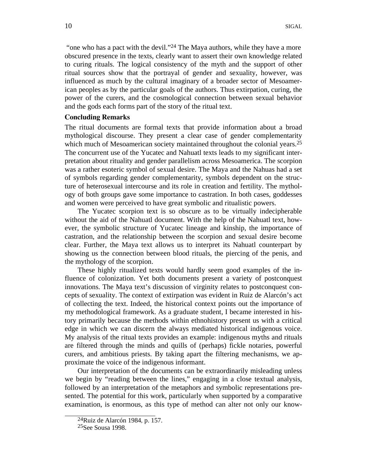"one who has a pact with the devil."24 The Maya authors, while they have a more obscured presence in the texts, clearly want to assert their own knowledge related to curing rituals. The logical consistency of the myth and the support of other ritual sources show that the portrayal of gender and sexuality, however, was influenced as much by the cultural imaginary of a broader sector of Mesoamerican peoples as by the particular goals of the authors. Thus extirpation, curing, the power of the curers, and the cosmological connection between sexual behavior and the gods each forms part of the story of the ritual text.

### **Concluding Remarks**

The ritual documents are formal texts that provide information about a broad mythological discourse. They present a clear case of gender complementarity which much of Mesoamerican society maintained throughout the colonial years.<sup>25</sup> The concurrent use of the Yucatec and Nahuatl texts leads to my significant interpretation about rituality and gender parallelism across Mesoamerica. The scorpion was a rather esoteric symbol of sexual desire. The Maya and the Nahuas had a set of symbols regarding gender complementarity, symbols dependent on the structure of heterosexual intercourse and its role in creation and fertility. The mythology of both groups gave some importance to castration. In both cases, goddesses and women were perceived to have great symbolic and ritualistic powers.

The Yucatec scorpion text is so obscure as to be virtually indecipherable without the aid of the Nahuatl document. With the help of the Nahuatl text, however, the symbolic structure of Yucatec lineage and kinship, the importance of castration, and the relationship between the scorpion and sexual desire become clear. Further, the Maya text allows us to interpret its Nahuatl counterpart by showing us the connection between blood rituals, the piercing of the penis, and the mythology of the scorpion.

These highly ritualized texts would hardly seem good examples of the influence of colonization. Yet both documents present a variety of postconquest innovations. The Maya text's discussion of virginity relates to postconquest concepts of sexuality. The context of extirpation was evident in Ruiz de Alarcón's act of collecting the text. Indeed, the historical context points out the importance of my methodological framework. As a graduate student, I became interested in history primarily because the methods within ethnohistory present us with a critical edge in which we can discern the always mediated historical indigenous voice. My analysis of the ritual texts provides an example: indigenous myths and rituals are filtered through the minds and quills of (perhaps) fickle notaries, powerful curers, and ambitious priests. By taking apart the filtering mechanisms, we approximate the voice of the indigenous informant.

Our interpretation of the documents can be extraordinarily misleading unless we begin by "reading between the lines," engaging in a close textual analysis, followed by an interpretation of the metaphors and symbolic representations presented. The potential for this work, particularly when supported by a comparative examination, is enormous, as this type of method can alter not only our know-

<sup>&</sup>lt;sup>24</sup>Ruiz de Alarcón 1984, p. 157.<br><sup>25</sup>See Sousa 1998.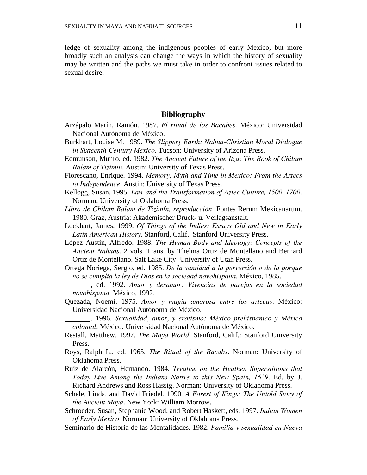ledge of sexuality among the indigenous peoples of early Mexico, but more broadly such an analysis can change the ways in which the history of sexuality may be written and the paths we must take in order to confront issues related to sexual desire.

## **Bibliography**

- Arzápalo Marín, Ramón. 1987. *El ritual de los Bacabes*. México: Universidad Nacional Autónoma de México.
- Burkhart, Louise M. 1989. *The Slippery Earth: Nahua-Christian Moral Dialogue in Sixteenth-Century Mexico*. Tucson: University of Arizona Press.
- Edmunson, Munro, ed. 1982. *The Ancient Future of the Itza: The Book of Chilam Balam of Tizimin*. Austin: University of Texas Press.
- Florescano, Enrique. 1994. *Memory, Myth and Time in Mexico: From the Aztecs to Independence*. Austin: University of Texas Press.
- Kellogg, Susan. 1995. *Law and the Transformation of Aztec Culture, 1500–1700.*  Norman: University of Oklahoma Press.
- *Libro de Chilam Balam de Tizimín, reproducción*. Fontes Rerum Mexicanarum. 1980. Graz, Austria: Akademischer Druck- u. Verlagsanstalt.
- Lockhart, James. 1999. *Of Things of the Indies: Essays Old and New in Early Latin American History*. Stanford, Calif.: Stanford University Press.
- López Austin, Alfredo. 1988. *The Human Body and Ideology: Concepts of the Ancient Nahuas*. 2 vols. Trans. by Thelma Ortiz de Montellano and Bernard Ortiz de Montellano. Salt Lake City: University of Utah Press.
- Ortega Noriega, Sergio, ed. 1985. *De la santidad a la perversión o de la porqué no se cumplía la ley de Dios en la sociedad novohispana*. México, 1985.
- , ed. 1992. *Amor y desamor: Vivencias de parejas en la sociedad novohispana*. México, 1992.
- Quezada, Noemí. 1975. *Amor y magia amorosa entre los aztecas*. México: Universidad Nacional Autónoma de México.
- . 1996. *Sexualidad*, *amor*, *y erotismo: México prehispánico y México colonial*. México: Universidad Nacional Autónoma de México.
- Restall, Matthew. 1997. *The Maya World.* Stanford, Calif.: Stanford University Press.
- Roys, Ralph L., ed. 1965. *The Ritual of the Bacabs*. Norman: University of Oklahoma Press.
- Ruiz de Alarcón, Hernando. 1984. *Treatise on the Heathen Superstitions that Today Live Among the Indians Native to this New Spain, 1629.* Ed. by J. Richard Andrews and Ross Hassig. Norman: University of Oklahoma Press.
- Schele, Linda, and David Friedel. 1990. *A Forest of Kings: The Untold Story of the Ancient Maya*. New York: William Morrow.
- Schroeder, Susan, Stephanie Wood, and Robert Haskett, eds. 1997. *Indian Women of Early Mexico*. Norman: University of Oklahoma Press.

Seminario de Historia de las Mentalidades. 1982. *Familia y sexualidad en Nueva*